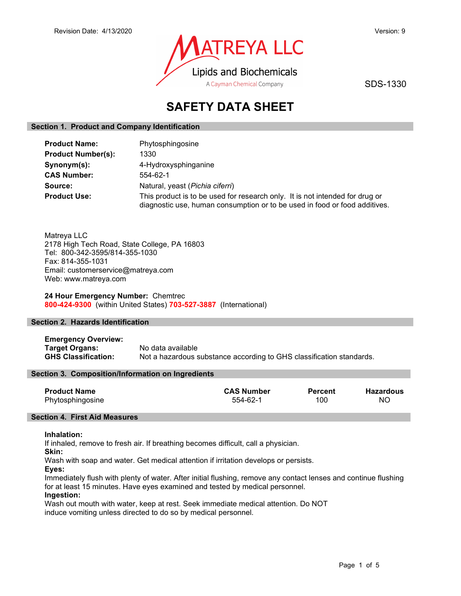

SDS-1330

# SAFETY DATA SHEET

## Section 1. Product and Company Identification

| <b>Product Name:</b>      | Phytosphingosine                                                                                                                                           |  |
|---------------------------|------------------------------------------------------------------------------------------------------------------------------------------------------------|--|
| <b>Product Number(s):</b> | 1330                                                                                                                                                       |  |
| Synonym(s):               | 4-Hydroxysphinganine                                                                                                                                       |  |
| <b>CAS Number:</b>        | 554-62-1                                                                                                                                                   |  |
| Source:                   | Natural, yeast (Pichia ciferri)                                                                                                                            |  |
| <b>Product Use:</b>       | This product is to be used for research only. It is not intended for drug or<br>diagnostic use, human consumption or to be used in food or food additives. |  |

Matreya LLC 2178 High Tech Road, State College, PA 16803 Tel: 800-342-3595/814-355-1030 Fax: 814-355-1031 Email: customerservice@matreya.com Web: www.matreya.com

24 Hour Emergency Number: Chemtrec 800-424-9300 (within United States) 703-527-3887 (International)

# Section 2. Hazards Identification

Emergency Overview: Target Organs: No data available GHS Classification: Not a hazardous substance according to GHS classification standards.

## Section 3. Composition/Information on Ingredients

| <b>Product Name</b> | <b>CAS Number</b> | <b>Percent</b> | <b>Hazardous</b> |
|---------------------|-------------------|----------------|------------------|
| Phytosphingosine    | 554-62-1          | 100            | NC               |

## Section 4. First Aid Measures

## Inhalation:

If inhaled, remove to fresh air. If breathing becomes difficult, call a physician.

Skin:

Wash with soap and water. Get medical attention if irritation develops or persists.

Eyes:

Immediately flush with plenty of water. After initial flushing, remove any contact lenses and continue flushing for at least 15 minutes. Have eyes examined and tested by medical personnel.

# Ingestion:

Wash out mouth with water, keep at rest. Seek immediate medical attention. Do NOT induce vomiting unless directed to do so by medical personnel.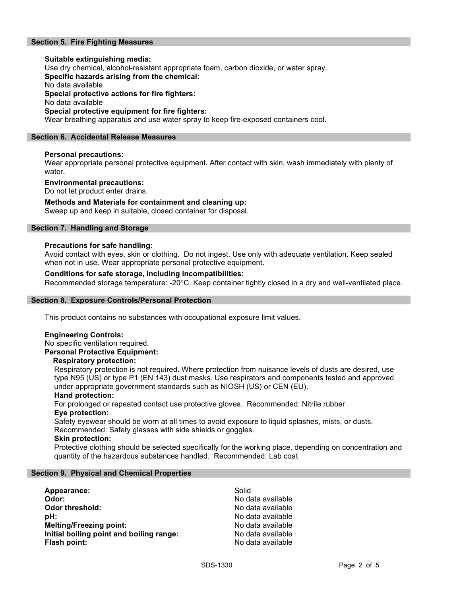## Section 5. Fire Fighting Measures

# Suitable extinguishing media: Use dry chemical, alcohol-resistant appropriate foam, carbon dioxide, or water spray. Specific hazards arising from the chemical: No data available Special protective actions for fire fighters: No data available Special protective equipment for fire fighters:

Wear breathing apparatus and use water spray to keep fire-exposed containers cool.

## Section 6. Accidental Release Measures

## Personal precautions:

Wear appropriate personal protective equipment. After contact with skin, wash immediately with plenty of water.

### Environmental precautions:

Do not let product enter drains.

## Methods and Materials for containment and cleaning up:

Sweep up and keep in suitable, closed container for disposal.

## Section 7. Handling and Storage

## Precautions for safe handling:

Avoid contact with eyes, skin or clothing. Do not ingest. Use only with adequate ventilation. Keep sealed when not in use. Wear appropriate personal protective equipment.

## Conditions for safe storage, including incompatibilities:

Recommended storage temperature: -20°C. Keep container tightly closed in a dry and well-ventilated place.

### Section 8. Exposure Controls/Personal Protection

This product contains no substances with occupational exposure limit values.

### Engineering Controls:

No specific ventilation required. Personal Protective Equipment:

### Respiratory protection:

Respiratory protection is not required. Where protection from nuisance levels of dusts are desired, use type N95 (US) or type P1 (EN 143) dust masks. Use respirators and components tested and approved under appropriate government standards such as NIOSH (US) or CEN (EU).

### Hand protection:

For prolonged or repeated contact use protective gloves. Recommended: Nitrile rubber Eye protection:

Safety eyewear should be worn at all times to avoid exposure to liquid splashes, mists, or dusts. Recommended: Safety glasses with side shields or goggles.

### Skin protection:

Protective clothing should be selected specifically for the working place, depending on concentration and quantity of the hazardous substances handled. Recommended: Lab coat

### Section 9. Physical and Chemical Properties

| Appearance:                              | Solid             |
|------------------------------------------|-------------------|
| Odor:                                    | No data available |
| <b>Odor threshold:</b>                   | No data available |
| pH:                                      | No data available |
| <b>Melting/Freezing point:</b>           | No data available |
| Initial boiling point and boiling range: | No data available |
| Flash point:                             | No data available |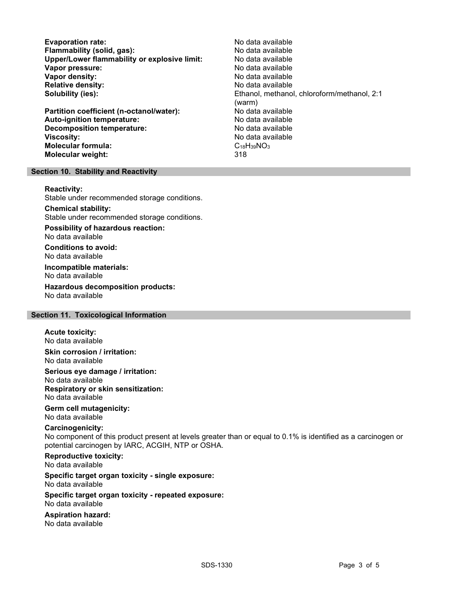Evaporation rate:<br>
Flammability (solid. gas): No data available Flammability (solid, gas):<br>
Upper/Lower flammability or explosive limit: No data available Upper/Lower flammability or explosive limit: Vapor pressure:  $\blacksquare$ Vapor density: No data available Relative density: No data available Solubility (ies): The Colubian Colubianol, methanol, chloroform/methanol, 2:1

Partition coefficient (n-octanol/water): No data available Auto-ignition temperature:  $\begin{array}{ccc} \text{Auto-ignition temperature:} & \text{No data available} \end{array}$ Decomposition temperature: **Viscosity:** No data available in the set of the set of the set of the set of the set of the set of the set of the set of the set of the set of the set of the set of the set of the set of the set of the set of the set of t Molecular formula: C18H39NO3 Molecular weight: 318

(warm)

## Section 10. Stability and Reactivity

### Reactivity:

Stable under recommended storage conditions.

Chemical stability: Stable under recommended storage conditions.

Possibility of hazardous reaction: No data available

Conditions to avoid: No data available

Incompatible materials: No data available

Hazardous decomposition products: No data available

# Section 11. Toxicological Information

### Acute toxicity:

No data available

Skin corrosion / irritation: No data available

Serious eye damage / irritation: No data available Respiratory or skin sensitization: No data available

# Germ cell mutagenicity:

No data available

# Carcinogenicity:

No component of this product present at levels greater than or equal to 0.1% is identified as a carcinogen or potential carcinogen by IARC, ACGIH, NTP or OSHA.

Reproductive toxicity: No data available

Specific target organ toxicity - single exposure: No data available

#### Specific target organ toxicity - repeated exposure: No data available

Aspiration hazard: No data available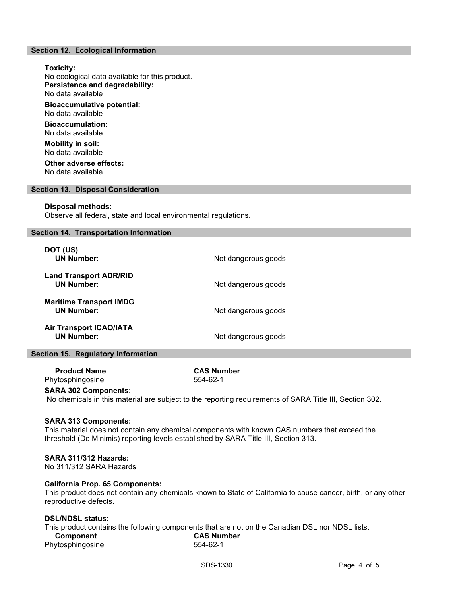## Section 12. Ecological Information

Toxicity: No ecological data available for this product. Persistence and degradability: No data available Bioaccumulative potential: No data available Bioaccumulation: No data available Mobility in soil: No data available Other adverse effects:

No data available

### Section 13. Disposal Consideration

#### Disposal methods:

Observe all federal, state and local environmental regulations.

### Section 14. Transportation Information

| DOT (US)<br><b>UN Number:</b>                       | Not dangerous goods |
|-----------------------------------------------------|---------------------|
| <b>Land Transport ADR/RID</b><br><b>UN Number:</b>  | Not dangerous goods |
| <b>Maritime Transport IMDG</b><br><b>UN Number:</b> | Not dangerous goods |
| <b>Air Transport ICAO/IATA</b><br><b>UN Number:</b> | Not dangerous goods |

## Section 15. Regulatory Information

 Product Name CAS Number Phytosphingosine 554-62-1

# SARA 302 Components:

No chemicals in this material are subject to the reporting requirements of SARA Title III, Section 302.

### SARA 313 Components:

This material does not contain any chemical components with known CAS numbers that exceed the threshold (De Minimis) reporting levels established by SARA Title III, Section 313.

### SARA 311/312 Hazards:

No 311/312 SARA Hazards

## California Prop. 65 Components:

This product does not contain any chemicals known to State of California to cause cancer, birth, or any other reproductive defects.

## DSL/NDSL status:

This product contains the following components that are not on the Canadian DSL nor NDSL lists. Component CAS Number

Phytosphingosine 554-62-1